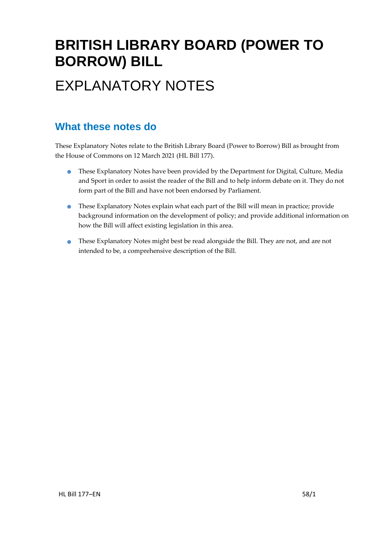## **BRITISH LIBRARY BOARD (POWER TO BORROW) BILL** EXPLANATORY NOTES

#### **What these notes do**

These Explanatory Notes relate to the British Library Board (Power to Borrow) Bill as brought from the House of Commons on 12 March 2021 (HL Bill 177).

- These Explanatory Notes have been provided by the Department for Digital, Culture, Media and Sport in order to assist the reader of the Bill and to help inform debate on it. They do not form part of the Bill and have not been endorsed by Parliament.
- These Explanatory Notes explain what each part of the Bill will mean in practice; provide background information on the development of policy; and provide additional information on how the Bill will affect existing legislation in this area.
- These Explanatory Notes might best be read alongside the Bill. They are not, and are not intended to be, a comprehensive description of the Bill.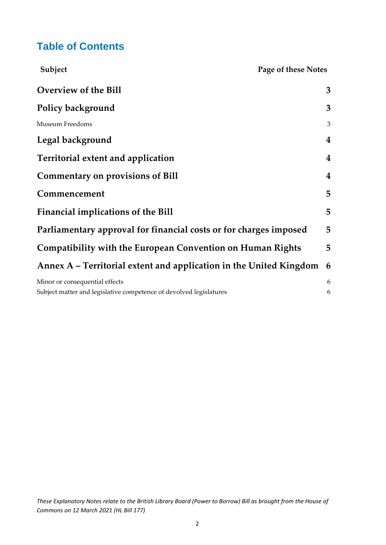#### **Table of Contents**

| Subject                                                                                              | Page of these Notes |
|------------------------------------------------------------------------------------------------------|---------------------|
| <b>Overview of the Bill</b>                                                                          | 3                   |
| Policy background                                                                                    | 3                   |
| <b>Museum Freedoms</b>                                                                               | 3                   |
| Legal background                                                                                     | 4                   |
| Territorial extent and application                                                                   | 4                   |
| <b>Commentary on provisions of Bill</b>                                                              | 4                   |
| Commencement                                                                                         | 5                   |
| Financial implications of the Bill                                                                   | 5                   |
| Parliamentary approval for financial costs or for charges imposed                                    | 5                   |
| <b>Compatibility with the European Convention on Human Rights</b>                                    | 5                   |
| Annex A – Territorial extent and application in the United Kingdom                                   | 6                   |
| Minor or consequential effects<br>Subject matter and legislative competence of devolved legislatures | 6<br>6              |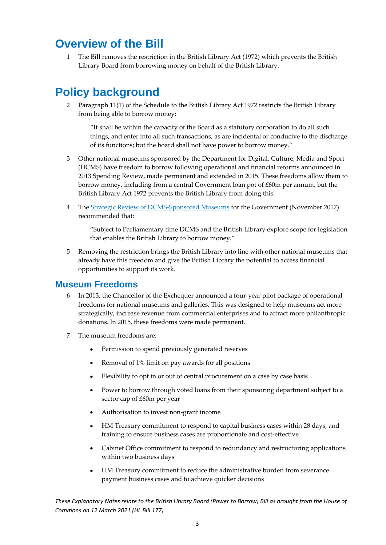#### <span id="page-2-0"></span>**Overview of the Bill**

1 The Bill removes the restriction in the British Library Act (1972) which prevents the British Library Board from borrowing money on behalf of the British Library.

### <span id="page-2-1"></span>**Policy background**

2 Paragraph 11(1) of the Schedule to the British Library Act 1972 restricts the British Library from being able to borrow money:

"It shall be within the capacity of the Board as a statutory corporation to do all such things, and enter into all such transactions, as are incidental or conducive to the discharge of its functions; but the board shall not have power to borrow money."

- 3 Other national museums sponsored by the Department for Digital, Culture, Media and Sport (DCMS) have freedom to borrow following operational and financial reforms announced in 2013 Spending Review, made permanent and extended in 2015. These freedoms allow them to borrow money, including from a central Government loan pot of £60m per annum, but the British Library Act 1972 prevents the British Library from doing this.
- 4 The [Strategic Review of DCMS-Sponsored Museums](https://www.gov.uk/government/publications/strategic-review-of-dcms-sponsored-museums) for the Government (November 2017) recommended that:

"Subject to Parliamentary time DCMS and the British Library explore scope for legislation that enables the British Library to borrow money."

5 Removing the restriction brings the British Library into line with other national museums that already have this freedom and give the British Library the potential to access financial opportunities to support its work.

#### <span id="page-2-2"></span>**Museum Freedoms**

- 6 In 2013, the Chancellor of the Exchequer announced a four-year pilot package of operational freedoms for national museums and galleries. This was designed to help museums act more strategically, increase revenue from commercial enterprises and to attract more philanthropic donations. In 2015, these freedoms were made permanent.
- 7 The museum freedoms are:
	- Permission to spend previously generated reserves
	- Removal of 1% limit on pay awards for all positions
	- Flexibility to opt in or out of central procurement on a case by case basis
	- Power to borrow through voted loans from their sponsoring department subject to a sector cap of £60m per year
	- Authorisation to invest non-grant income
	- HM Treasury commitment to respond to capital business cases within 28 days, and training to ensure business cases are proportionate and cost-effective
	- Cabinet Office commitment to respond to redundancy and restructuring applications within two business days
	- HM Treasury commitment to reduce the administrative burden from severance payment business cases and to achieve quicker decisions

*These Explanatory Notes relate to the British Library Board (Power to Borrow) Bill as brought from the House of Commons on 12 March 2021 (HL Bill 177)*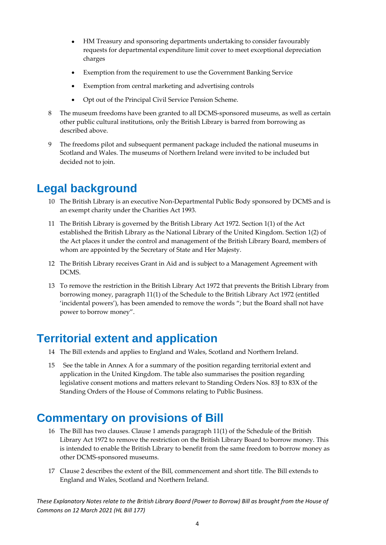- HM Treasury and sponsoring departments undertaking to consider favourably requests for departmental expenditure limit cover to meet exceptional depreciation charges
- Exemption from the requirement to use the Government Banking Service
- Exemption from central marketing and advertising controls
- Opt out of the Principal Civil Service Pension Scheme.
- 8 The museum freedoms have been granted to all DCMS-sponsored museums, as well as certain other public cultural institutions, only the British Library is barred from borrowing as described above.
- 9 The freedoms pilot and subsequent permanent package included the national museums in Scotland and Wales. The museums of Northern Ireland were invited to be included but decided not to join.

#### <span id="page-3-0"></span>**Legal background**

- 10 The British Library is an executive Non-Departmental Public Body sponsored by DCMS and is an exempt charity under the Charities Act 1993.
- 11 The British Library is governed by the British Library Act 1972. Section 1(1) of the Act established the British Library as the National Library of the United Kingdom. Section 1(2) of the Act places it under the control and management of the British Library Board, members of whom are appointed by the Secretary of State and Her Majesty.
- 12 The British Library receives Grant in Aid and is subject to a Management Agreement with DCMS.
- 13 To remove the restriction in the British Library Act 1972 that prevents the British Library from borrowing money, paragraph 11(1) of the Schedule to the British Library Act 1972 (entitled 'incidental powers'), has been amended to remove the words "; but the Board shall not have power to borrow money".

#### <span id="page-3-1"></span>**Territorial extent and application**

- 14 The Bill extends and applies to England and Wales, Scotland and Northern Ireland.
- 15 See the table in Annex A for a summary of the position regarding territorial extent and application in the United Kingdom. The table also summarises the position regarding legislative consent motions and matters relevant to Standing Orders Nos. 83J to 83X of the Standing Orders of the House of Commons relating to Public Business.

#### <span id="page-3-2"></span>**Commentary on provisions of Bill**

- 16 The Bill has two clauses. Clause 1 amends paragraph 11(1) of the Schedule of the British Library Act 1972 to remove the restriction on the British Library Board to borrow money. This is intended to enable the British Library to benefit from the same freedom to borrow money as other DCMS-sponsored museums.
- 17 Clause 2 describes the extent of the Bill, commencement and short title. The Bill extends to England and Wales, Scotland and Northern Ireland.

*These Explanatory Notes relate to the British Library Board (Power to Borrow) Bill as brought from the House of Commons on 12 March 2021 (HL Bill 177)*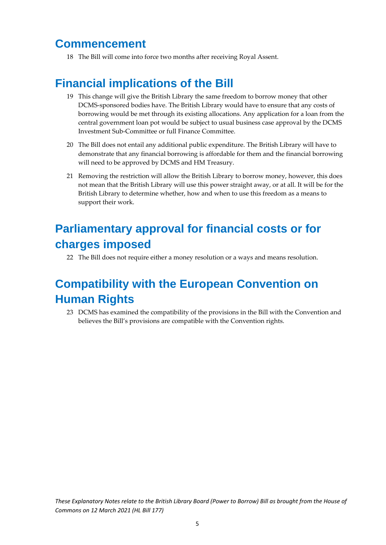#### <span id="page-4-0"></span>**Commencement**

18 The Bill will come into force two months after receiving Royal Assent.

#### <span id="page-4-1"></span>**Financial implications of the Bill**

- 19 This change will give the British Library the same freedom to borrow money that other DCMS-sponsored bodies have. The British Library would have to ensure that any costs of borrowing would be met through its existing allocations. Any application for a loan from the central government loan pot would be subject to usual business case approval by the DCMS Investment Sub-Committee or full Finance Committee.
- 20 The Bill does not entail any additional public expenditure. The British Library will have to demonstrate that any financial borrowing is affordable for them and the financial borrowing will need to be approved by DCMS and HM Treasury.
- 21 Removing the restriction will allow the British Library to borrow money, however, this does not mean that the British Library will use this power straight away, or at all. It will be for the British Library to determine whether, how and when to use this freedom as a means to support their work.

### <span id="page-4-2"></span>**Parliamentary approval for financial costs or for charges imposed**

22 The Bill does not require either a money resolution or a ways and means resolution.

## <span id="page-4-3"></span>**Compatibility with the European Convention on Human Rights**

23 DCMS has examined the compatibility of the provisions in the Bill with the Convention and believes the Bill's provisions are compatible with the Convention rights.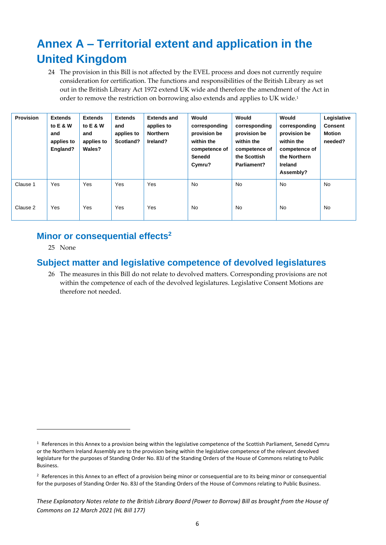## <span id="page-5-0"></span>**Annex A – Territorial extent and application in the United Kingdom**

24 The provision in this Bill is not affected by the EVEL process and does not currently require consideration for certification. The functions and responsibilities of the British Library as set out in the British Library Act 1972 extend UK wide and therefore the amendment of the Act in order to remove the restriction on borrowing also extends and applies to UK wide.<sup>1</sup>

| <b>Provision</b> | <b>Extends</b><br>to E & W<br>and<br>applies to<br>England? | <b>Extends</b><br>to E & W<br>and<br>applies to<br>Wales? | <b>Extends</b><br>and<br>applies to<br>Scotland? | <b>Extends and</b><br>applies to<br><b>Northern</b><br>Ireland? | Would<br>corresponding<br>provision be<br>within the<br>competence of<br>Senedd<br>Cymru? | Would<br>corresponding<br>provision be<br>within the<br>competence of<br>the Scottish<br>Parliament? | Would<br>corresponding<br>provision be<br>within the<br>competence of<br>the Northern<br><b>Ireland</b><br>Assembly? | Legislative<br><b>Consent</b><br>Motion<br>needed? |
|------------------|-------------------------------------------------------------|-----------------------------------------------------------|--------------------------------------------------|-----------------------------------------------------------------|-------------------------------------------------------------------------------------------|------------------------------------------------------------------------------------------------------|----------------------------------------------------------------------------------------------------------------------|----------------------------------------------------|
| Clause 1         | Yes                                                         | Yes                                                       | Yes                                              | Yes                                                             | <b>No</b>                                                                                 | <b>No</b>                                                                                            | <b>No</b>                                                                                                            | <b>No</b>                                          |
| Clause 2         | Yes                                                         | Yes                                                       | Yes                                              | Yes                                                             | <b>No</b>                                                                                 | <b>No</b>                                                                                            | <b>No</b>                                                                                                            | <b>No</b>                                          |

#### <span id="page-5-1"></span>**Minor or consequential effects<sup>2</sup>**

25 None

#### <span id="page-5-2"></span>**Subject matter and legislative competence of devolved legislatures**

26 The measures in this Bill do not relate to devolved matters. Corresponding provisions are not within the competence of each of the devolved legislatures. Legislative Consent Motions are therefore not needed.

 $1$  References in this Annex to a provision being within the legislative competence of the Scottish Parliament, Senedd Cymru or the Northern Ireland Assembly are to the provision being within the legislative competence of the relevant devolved legislature for the purposes of Standing Order No. 83J of the Standing Orders of the House of Commons relating to Public Business.

<sup>&</sup>lt;sup>2</sup> References in this Annex to an effect of a provision being minor or consequential are to its being minor or consequential for the purposes of Standing Order No. 83J of the Standing Orders of the House of Commons relating to Public Business.